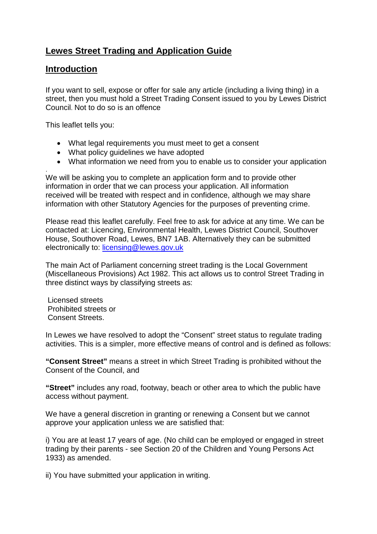# **Lewes Street Trading and Application Guide**

### **Introduction**

If you want to sell, expose or offer for sale any article (including a living thing) in a street, then you must hold a Street Trading Consent issued to you by Lewes District Council. Not to do so is an offence

This leaflet tells you:

- What legal requirements you must meet to get a consent
- What policy guidelines we have adopted
- What information we need from you to enable us to consider your application

. We will be asking you to complete an application form and to provide other information in order that we can process your application. All information received will be treated with respect and in confidence, although we may share information with other Statutory Agencies for the purposes of preventing crime.

Please read this leaflet carefully. Feel free to ask for advice at any time. We can be contacted at: Licencing, Environmental Health, Lewes District Council, Southover House, Southover Road, Lewes, BN7 1AB. Alternatively they can be submitted electronically to: [licensing@lewes.gov.uk](mailto:licensing@lewes.gov.uk)

The main Act of Parliament concerning street trading is the Local Government (Miscellaneous Provisions) Act 1982. This act allows us to control Street Trading in three distinct ways by classifying streets as:

Licensed streets Prohibited streets or Consent Streets.

In Lewes we have resolved to adopt the "Consent" street status to regulate trading activities. This is a simpler, more effective means of control and is defined as follows:

**"Consent Street"** means a street in which Street Trading is prohibited without the Consent of the Council, and

**"Street"** includes any road, footway, beach or other area to which the public have access without payment.

We have a general discretion in granting or renewing a Consent but we cannot approve your application unless we are satisfied that:

i) You are at least 17 years of age. (No child can be employed or engaged in street trading by their parents - see Section 20 of the Children and Young Persons Act 1933) as amended.

ii) You have submitted your application in writing.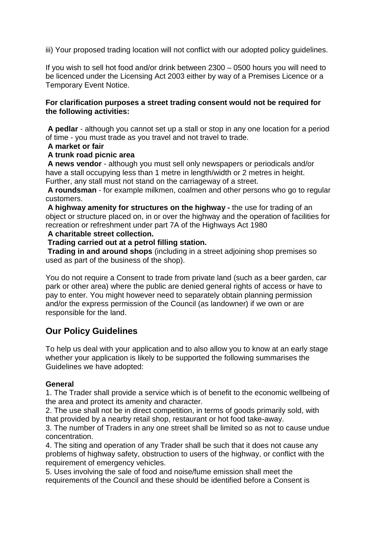iii) Your proposed trading location will not conflict with our adopted policy guidelines.

If you wish to sell hot food and/or drink between 2300 – 0500 hours you will need to be licenced under the Licensing Act 2003 either by way of a Premises Licence or a Temporary Event Notice.

### **For clarification purposes a street trading consent would not be required for the following activities:**

**A pedlar** - although you cannot set up a stall or stop in any one location for a period of time - you must trade as you travel and not travel to trade.

### **A market or fair**

### **A trunk road picnic area**

**A news vendor** - although you must sell only newspapers or periodicals and/or have a stall occupying less than 1 metre in length/width or 2 metres in height. Further, any stall must not stand on the carriageway of a street.

**A roundsman** - for example milkmen, coalmen and other persons who go to regular customers.

**A highway amenity for structures on the highway -** the use for trading of an object or structure placed on, in or over the highway and the operation of facilities for recreation or refreshment under part 7A of the Highways Act 1980

### **A charitable street collection.**

#### **Trading carried out at a petrol filling station.**

**Trading in and around shops** (including in a street adjoining shop premises so used as part of the business of the shop).

You do not require a Consent to trade from private land (such as a beer garden, car park or other area) where the public are denied general rights of access or have to pay to enter. You might however need to separately obtain planning permission and/or the express permission of the Council (as landowner) if we own or are responsible for the land.

## **Our Policy Guidelines**

To help us deal with your application and to also allow you to know at an early stage whether your application is likely to be supported the following summarises the Guidelines we have adopted:

### **General**

1. The Trader shall provide a service which is of benefit to the economic wellbeing of the area and protect its amenity and character.

2. The use shall not be in direct competition, in terms of goods primarily sold, with that provided by a nearby retail shop, restaurant or hot food take-away.

3. The number of Traders in any one street shall be limited so as not to cause undue concentration.

4. The siting and operation of any Trader shall be such that it does not cause any problems of highway safety, obstruction to users of the highway, or conflict with the requirement of emergency vehicles.

5. Uses involving the sale of food and noise/fume emission shall meet the requirements of the Council and these should be identified before a Consent is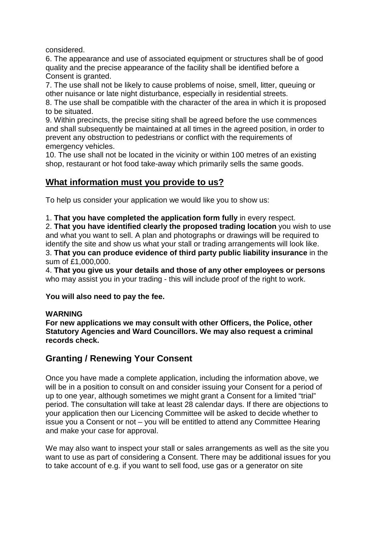considered.

6. The appearance and use of associated equipment or structures shall be of good quality and the precise appearance of the facility shall be identified before a Consent is granted.

7. The use shall not be likely to cause problems of noise, smell, litter, queuing or other nuisance or late night disturbance, especially in residential streets.

8. The use shall be compatible with the character of the area in which it is proposed to be situated.

9. Within precincts, the precise siting shall be agreed before the use commences and shall subsequently be maintained at all times in the agreed position, in order to prevent any obstruction to pedestrians or conflict with the requirements of emergency vehicles.

10. The use shall not be located in the vicinity or within 100 metres of an existing shop, restaurant or hot food take-away which primarily sells the same goods.

### **What information must you provide to us?**

To help us consider your application we would like you to show us:

1. **That you have completed the application form fully** in every respect.

2. **That you have identified clearly the proposed trading location** you wish to use and what you want to sell. A plan and photographs or drawings will be required to identify the site and show us what your stall or trading arrangements will look like. 3. **That you can produce evidence of third party public liability insurance** in the sum of £1,000,000.

4. **That you give us your details and those of any other employees or persons**  who may assist you in your trading - this will include proof of the right to work.

**You will also need to pay the fee.**

### **WARNING**

**For new applications we may consult with other Officers, the Police, other Statutory Agencies and Ward Councillors. We may also request a criminal records check.**

## **Granting / Renewing Your Consent**

Once you have made a complete application, including the information above, we will be in a position to consult on and consider issuing your Consent for a period of up to one year, although sometimes we might grant a Consent for a limited "trial" period. The consultation will take at least 28 calendar days. If there are objections to your application then our Licencing Committee will be asked to decide whether to issue you a Consent or not – you will be entitled to attend any Committee Hearing and make your case for approval.

We may also want to inspect your stall or sales arrangements as well as the site you want to use as part of considering a Consent. There may be additional issues for you to take account of e.g. if you want to sell food, use gas or a generator on site